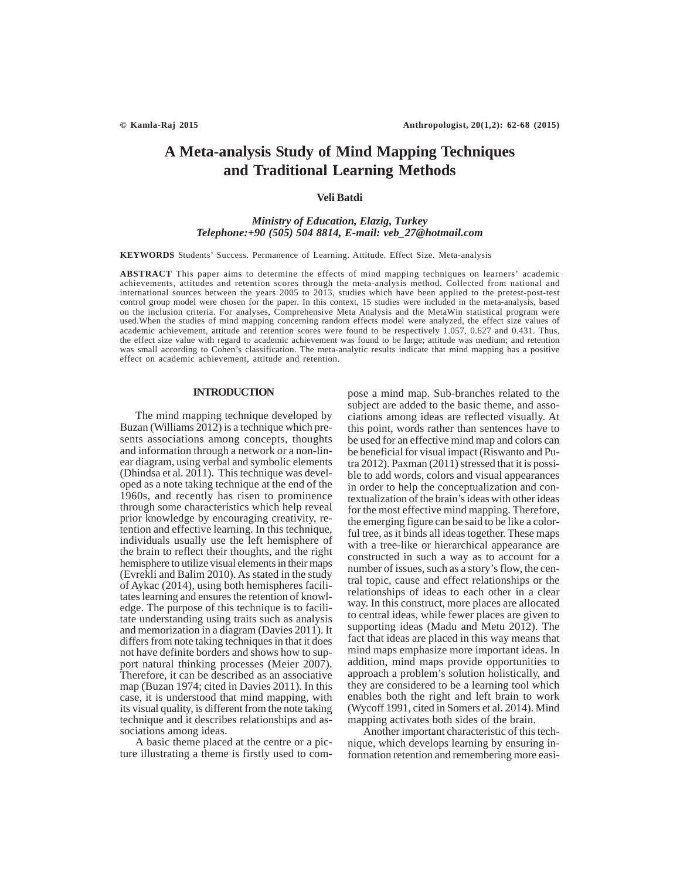# **A Meta-analysis Study of Mind Mapping Techniques and Traditional Learning Methods**

## **Veli Batdi**

## *Ministry of Education, Elazig, Turkey Telephone:+90 (505) 504 8814, E-mail: veb\_27@hotmail.com*

**KEYWORDS** Students' Success. Permanence of Learning. Attitude. Effect Size. Meta-analysis

**ABSTRACT** This paper aims to determine the effects of mind mapping techniques on learners' academic achievements, attitudes and retention scores through the meta-analysis method. Collected from national and international sources between the years 2005 to 2013, studies which have been applied to the pretest-post-test control group model were chosen for the paper. In this context, 15 studies were included in the meta-analysis, based on the inclusion criteria. For analyses, Comprehensive Meta Analysis and the MetaWin statistical program were used.When the studies of mind mapping concerning random effects model were analyzed, the effect size values of academic achievement, attitude and retention scores were found to be respectively 1.057, 0.627 and 0.431. Thus, the effect size value with regard to academic achievement was found to be large; attitude was medium; and retention was small according to Cohen's classification. The meta-analytic results indicate that mind mapping has a positive effect on academic achievement, attitude and retention.

## **INTRODUCTION**

The mind mapping technique developed by Buzan (Williams 2012) is a technique which presents associations among concepts, thoughts and information through a network or a non-linear diagram, using verbal and symbolic elements (Dhindsa et al. 2011). This technique was developed as a note taking technique at the end of the 1960s, and recently has risen to prominence through some characteristics which help reveal prior knowledge by encouraging creativity, retention and effective learning. In this technique, individuals usually use the left hemisphere of the brain to reflect their thoughts, and the right hemisphere to utilize visual elements in their maps (Evrekli and Balim 2010). As stated in the study of Aykac (2014), using both hemispheres facilitates learning and ensures the retention of knowledge. The purpose of this technique is to facilitate understanding using traits such as analysis and memorization in a diagram (Davies 2011). It differs from note taking techniques in that it does not have definite borders and shows how to support natural thinking processes (Meier 2007). Therefore, it can be described as an associative map (Buzan 1974; cited in Davies 2011). In this case, it is understood that mind mapping, with its visual quality, is different from the note taking technique and it describes relationships and associations among ideas.

A basic theme placed at the centre or a picture illustrating a theme is firstly used to compose a mind map. Sub-branches related to the subject are added to the basic theme, and associations among ideas are reflected visually. At this point, words rather than sentences have to be used for an effective mind map and colors can be beneficial for visual impact (Riswanto and Putra 2012). Paxman (2011) stressed that it is possible to add words, colors and visual appearances in order to help the conceptualization and contextualization of the brain's ideas with other ideas for the most effective mind mapping. Therefore, the emerging figure can be said to be like a colorful tree, as it binds all ideas together. These maps with a tree-like or hierarchical appearance are constructed in such a way as to account for a number of issues, such as a story's flow, the central topic, cause and effect relationships or the relationships of ideas to each other in a clear way. In this construct, more places are allocated to central ideas, while fewer places are given to supporting ideas (Madu and Metu 2012). The fact that ideas are placed in this way means that mind maps emphasize more important ideas. In addition, mind maps provide opportunities to approach a problem's solution holistically, and they are considered to be a learning tool which enables both the right and left brain to work (Wycoff 1991, cited in Somers et al. 2014). Mind mapping activates both sides of the brain.

Another important characteristic of this technique, which develops learning by ensuring information retention and remembering more easi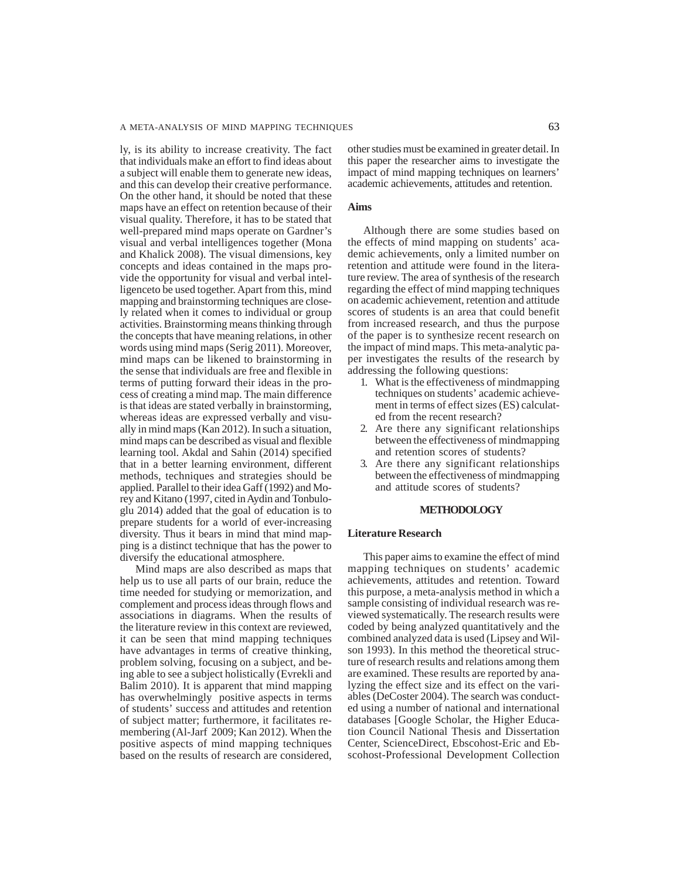ly, is its ability to increase creativity. The fact that individuals make an effort to find ideas about a subject will enable them to generate new ideas, and this can develop their creative performance. On the other hand, it should be noted that these maps have an effect on retention because of their visual quality. Therefore, it has to be stated that well-prepared mind maps operate on Gardner's visual and verbal intelligences together (Mona and Khalick 2008). The visual dimensions, key concepts and ideas contained in the maps provide the opportunity for visual and verbal intelligenceto be used together. Apart from this, mind mapping and brainstorming techniques are closely related when it comes to individual or group activities. Brainstorming means thinking through the concepts that have meaning relations, in other words using mind maps (Serig 2011). Moreover, mind maps can be likened to brainstorming in the sense that individuals are free and flexible in terms of putting forward their ideas in the process of creating a mind map. The main difference is that ideas are stated verbally in brainstorming, whereas ideas are expressed verbally and visually in mind maps (Kan 2012). In such a situation, mind maps can be described as visual and flexible learning tool. Akdal and Sahin (2014) specified that in a better learning environment, different methods, techniques and strategies should be applied. Parallel to their idea Gaff (1992) and Morey and Kitano (1997, cited in Aydin and Tonbuloglu 2014) added that the goal of education is to prepare students for a world of ever-increasing diversity. Thus it bears in mind that mind mapping is a distinct technique that has the power to diversify the educational atmosphere.

Mind maps are also described as maps that help us to use all parts of our brain, reduce the time needed for studying or memorization, and complement and process ideas through flows and associations in diagrams. When the results of the literature review in this context are reviewed, it can be seen that mind mapping techniques have advantages in terms of creative thinking, problem solving, focusing on a subject, and being able to see a subject holistically (Evrekli and Balim 2010). It is apparent that mind mapping has overwhelmingly positive aspects in terms of students' success and attitudes and retention of subject matter; furthermore, it facilitates remembering (Al-Jarf 2009; Kan 2012). When the positive aspects of mind mapping techniques based on the results of research are considered,

other studies must be examined in greater detail. In this paper the researcher aims to investigate the impact of mind mapping techniques on learners' academic achievements, attitudes and retention.

### **Aims**

Although there are some studies based on the effects of mind mapping on students' academic achievements, only a limited number on retention and attitude were found in the literature review. The area of synthesis of the research regarding the effect of mind mapping techniques on academic achievement, retention and attitude scores of students is an area that could benefit from increased research, and thus the purpose of the paper is to synthesize recent research on the impact of mind maps. This meta-analytic paper investigates the results of the research by addressing the following questions:

- 1. What is the effectiveness of mindmapping techniques on students' academic achievement in terms of effect sizes (ES) calculated from the recent research?
- 2. Are there any significant relationships between the effectiveness of mindmapping and retention scores of students?
- 3. Are there any significant relationships between the effectiveness of mindmapping and attitude scores of students?

## **METHODOLOGY**

## **Literature Research**

This paper aims to examine the effect of mind mapping techniques on students' academic achievements, attitudes and retention. Toward this purpose, a meta-analysis method in which a sample consisting of individual research was reviewed systematically. The research results were coded by being analyzed quantitatively and the combined analyzed data is used (Lipsey and Wilson 1993). In this method the theoretical structure of research results and relations among them are examined. These results are reported by analyzing the effect size and its effect on the variables (DeCoster 2004). The search was conducted using a number of national and international databases [Google Scholar, the Higher Education Council National Thesis and Dissertation Center, ScienceDirect, Ebscohost-Eric and Ebscohost-Professional Development Collection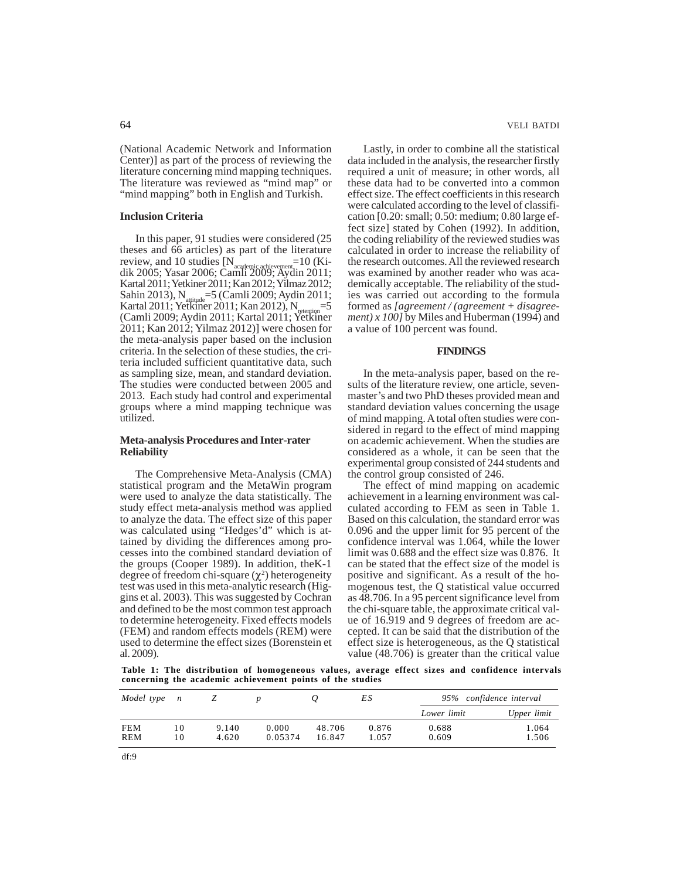(National Academic Network and Information Center)] as part of the process of reviewing the literature concerning mind mapping techniques. The literature was reviewed as "mind map" or "mind mapping" both in English and Turkish.

## **Inclusion Criteria**

In this paper, 91 studies were considered (25 theses and 66 articles) as part of the literature<br>review, and 10 studies  $[N = 10(Ki-1)]$ review, and 10 studies  $[N]$ dik 2005; Yasar 2006; Camli 2009; Aydin 2011; Kartal 2011; Yetkiner 2011; Kan 2012; Yilmaz 2012;  $\text{Sahin } 2013$ ),  $\text{N}_{\text{atplitude}} = 5 \text{ (Camli } 2009; \text{Aydin } 2011;$ Kartal 2011; Yetkiner 2011; Kan 2012), N<sub>retention</sub>=5 (Camli 2009; Aydin 2011; Kartal 2011; Yetkiner 2011; Kan 2012; Yilmaz 2012)] were chosen for the meta-analysis paper based on the inclusion criteria. In the selection of these studies, the criteria included sufficient quantitative data, such as sampling size, mean, and standard deviation. The studies were conducted between 2005 and 2013. Each study had control and experimental groups where a mind mapping technique was utilized.

### **Meta-analysis Procedures and Inter-rater Reliability**

The Comprehensive Meta-Analysis (CMA) statistical program and the MetaWin program were used to analyze the data statistically. The study effect meta-analysis method was applied to analyze the data. The effect size of this paper was calculated using "Hedges'd" which is attained by dividing the differences among processes into the combined standard deviation of the groups (Cooper 1989). In addition, theK-1 degree of freedom chi-square  $(\chi^2)$  heterogeneity test was used in this meta-analytic research (Higgins et al. 2003). This was suggested by Cochran and defined to be the most common test approach to determine heterogeneity. Fixed effects models (FEM) and random effects models (REM) were used to determine the effect sizes (Borenstein et al. 2009).

64 VELI BATDI

Lastly, in order to combine all the statistical data included in the analysis, the researcher firstly required a unit of measure; in other words, all these data had to be converted into a common effect size. The effect coefficients in this research were calculated according to the level of classification [0.20: small; 0.50: medium; 0.80 large effect size] stated by Cohen (1992). In addition, the coding reliability of the reviewed studies was calculated in order to increase the reliability of the research outcomes. All the reviewed research was examined by another reader who was academically acceptable. The reliability of the studies was carried out according to the formula formed as *[agreement / (agreement + disagreement) x 100]* by Miles and Huberman (1994) and a value of 100 percent was found.

#### **FINDINGS**

In the meta-analysis paper, based on the results of the literature review, one article, sevenmaster's and two PhD theses provided mean and standard deviation values concerning the usage of mind mapping. A total often studies were considered in regard to the effect of mind mapping on academic achievement. When the studies are considered as a whole, it can be seen that the experimental group consisted of 244 students and the control group consisted of 246.

The effect of mind mapping on academic achievement in a learning environment was calculated according to FEM as seen in Table 1. Based on this calculation, the standard error was 0.096 and the upper limit for 95 percent of the confidence interval was 1.064, while the lower limit was 0.688 and the effect size was 0.876. It can be stated that the effect size of the model is positive and significant. As a result of the homogenous test, the Q statistical value occurred as 48.706. In a 95 percent significance level from the chi-square table, the approximate critical value of 16.919 and 9 degrees of freedom are accepted. It can be said that the distribution of the effect size is heterogeneous, as the Q statistical value (48.706) is greater than the critical value

**Table 1: The distribution of homogeneous values, average effect sizes and confidence intervals concerning the academic achievement points of the studies**

| Model type n |    |       |         |        | ΕS    | 95% confidence interval |             |  |
|--------------|----|-------|---------|--------|-------|-------------------------|-------------|--|
|              |    |       |         |        |       | Lower limit             | Upper limit |  |
| <b>FEM</b>   | 10 | 9.140 | 0.000   | 48.706 | 0.876 | 0.688                   | 1.064       |  |
| REM          | 10 | 4.620 | 0.05374 | 16.847 | 1.057 | 0.609                   | 1.506       |  |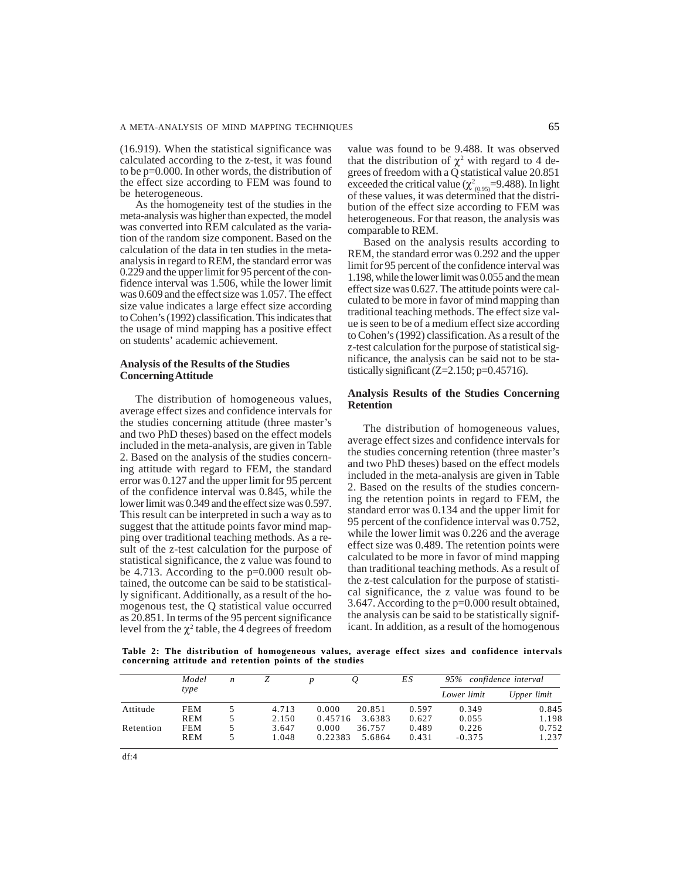(16.919). When the statistical significance was calculated according to the z-test, it was found to be p=0.000. In other words, the distribution of the effect size according to FEM was found to be heterogeneous.

As the homogeneity test of the studies in the meta-analysis was higher than expected, the model was converted into REM calculated as the variation of the random size component. Based on the calculation of the data in ten studies in the metaanalysis in regard to REM, the standard error was 0.229 and the upper limit for 95 percent of the confidence interval was 1.506, while the lower limit was 0.609 and the effect size was 1.057. The effect size value indicates a large effect size according to Cohen's (1992) classification. This indicates that the usage of mind mapping has a positive effect on students' academic achievement.

# **Analysis of the Results of the Studies Concerning Attitude**

The distribution of homogeneous values, average effect sizes and confidence intervals for the studies concerning attitude (three master's and two PhD theses) based on the effect models included in the meta-analysis, are given in Table 2. Based on the analysis of the studies concerning attitude with regard to FEM, the standard error was 0.127 and the upper limit for 95 percent of the confidence interval was 0.845, while the lower limit was 0.349 and the effect size was 0.597. This result can be interpreted in such a way as to suggest that the attitude points favor mind mapping over traditional teaching methods. As a result of the z-test calculation for the purpose of statistical significance, the z value was found to be 4.713. According to the p=0.000 result obtained, the outcome can be said to be statistically significant. Additionally, as a result of the homogenous test, the Q statistical value occurred as 20.851. In terms of the 95 percent significance level from the  $\chi^2$  table, the 4 degrees of freedom

value was found to be 9.488. It was observed that the distribution of  $\chi^2$  with regard to 4 degrees of freedom with a Q statistical value 20.851 exceeded the critical value ( $\chi^2_{(0.95)}$ =9.488). In light of these values, it was determined that the distribution of the effect size according to FEM was heterogeneous. For that reason, the analysis was comparable to REM.

Based on the analysis results according to REM, the standard error was 0.292 and the upper limit for 95 percent of the confidence interval was 1.198, while the lower limit was 0.055 and the mean effect size was 0.627. The attitude points were calculated to be more in favor of mind mapping than traditional teaching methods. The effect size value is seen to be of a medium effect size according to Cohen's (1992) classification. As a result of the z-test calculation for the purpose of statistical significance, the analysis can be said not to be statistically significant  $(Z=2.150; p=0.45716)$ .

## **Analysis Results of the Studies Concerning Retention**

The distribution of homogeneous values, average effect sizes and confidence intervals for the studies concerning retention (three master's and two PhD theses) based on the effect models included in the meta-analysis are given in Table 2. Based on the results of the studies concerning the retention points in regard to FEM, the standard error was 0.134 and the upper limit for 95 percent of the confidence interval was 0.752, while the lower limit was 0.226 and the average effect size was 0.489. The retention points were calculated to be more in favor of mind mapping than traditional teaching methods. As a result of the z-test calculation for the purpose of statistical significance, the z value was found to be 3.647. According to the p=0.000 result obtained, the analysis can be said to be statistically significant. In addition, as a result of the homogenous

**Table 2: The distribution of homogeneous values, average effect sizes and confidence intervals concerning attitude and retention points of the studies**

|           | Model      | n |       |         |        | ES    | 95% confidence interval |             |
|-----------|------------|---|-------|---------|--------|-------|-------------------------|-------------|
|           | type       |   |       |         |        |       | Lower limit             | Upper limit |
| Attitude  | FEM        |   | 4.713 | 0.000   | 20.851 | 0.597 | 0.349                   | 0.845       |
|           | <b>REM</b> |   | 2.150 | 0.45716 | 3.6383 | 0.627 | 0.055                   | 1.198       |
| Retention | FEM        |   | 3.647 | 0.000   | 36.757 | 0.489 | 0.226                   | 0.752       |
|           | REM        |   | 1.048 | 0.22383 | 5.6864 | 0.431 | $-0.375$                | 1.237       |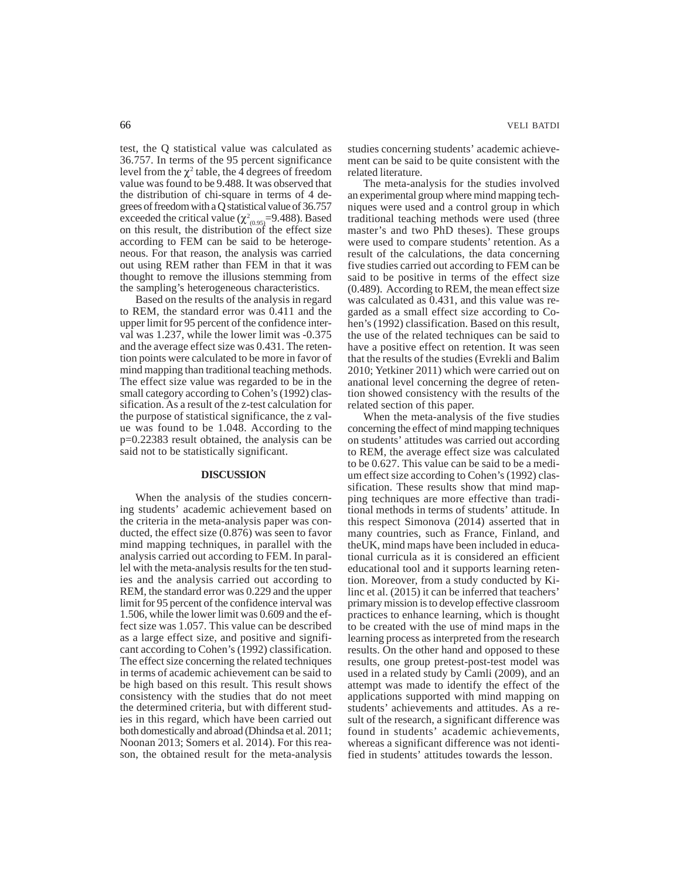test, the Q statistical value was calculated as 36.757. In terms of the 95 percent significance level from the  $\chi^2$  table, the 4 degrees of freedom value was found to be 9.488. It was observed that the distribution of chi-square in terms of 4 degrees of freedom with a Q statistical value of 36.757 exceeded the critical value  $(\chi^2_{(0.95)}=9.488)$ . Based on this result, the distribution of the effect size according to FEM can be said to be heterogeneous. For that reason, the analysis was carried out using REM rather than FEM in that it was thought to remove the illusions stemming from the sampling's heterogeneous characteristics.

Based on the results of the analysis in regard to REM, the standard error was 0.411 and the upper limit for 95 percent of the confidence interval was 1.237, while the lower limit was -0.375 and the average effect size was 0.431. The retention points were calculated to be more in favor of mind mapping than traditional teaching methods. The effect size value was regarded to be in the small category according to Cohen's (1992) classification. As a result of the z-test calculation for the purpose of statistical significance, the z value was found to be 1.048. According to the p=0.22383 result obtained, the analysis can be said not to be statistically significant.

## **DISCUSSION**

When the analysis of the studies concerning students' academic achievement based on the criteria in the meta-analysis paper was conducted, the effect size (0.876) was seen to favor mind mapping techniques, in parallel with the analysis carried out according to FEM. In parallel with the meta-analysis results for the ten studies and the analysis carried out according to REM, the standard error was 0.229 and the upper limit for 95 percent of the confidence interval was 1.506, while the lower limit was 0.609 and the effect size was 1.057. This value can be described as a large effect size, and positive and significant according to Cohen's (1992) classification. The effect size concerning the related techniques in terms of academic achievement can be said to be high based on this result. This result shows consistency with the studies that do not meet the determined criteria, but with different studies in this regard, which have been carried out both domestically and abroad (Dhindsa et al. 2011; Noonan 2013; Somers et al. 2014). For this reason, the obtained result for the meta-analysis

studies concerning students' academic achievement can be said to be quite consistent with the related literature.

The meta-analysis for the studies involved an experimental group where mind mapping techniques were used and a control group in which traditional teaching methods were used (three master's and two PhD theses). These groups were used to compare students' retention. As a result of the calculations, the data concerning five studies carried out according to FEM can be said to be positive in terms of the effect size (0.489). According to REM, the mean effect size was calculated as 0.431, and this value was regarded as a small effect size according to Cohen's (1992) classification. Based on this result, the use of the related techniques can be said to have a positive effect on retention. It was seen that the results of the studies (Evrekli and Balim 2010; Yetkiner 2011) which were carried out on anational level concerning the degree of retention showed consistency with the results of the related section of this paper.

When the meta-analysis of the five studies concerning the effect of mind mapping techniques on students' attitudes was carried out according to REM, the average effect size was calculated to be 0.627. This value can be said to be a medium effect size according to Cohen's (1992) classification. These results show that mind mapping techniques are more effective than traditional methods in terms of students' attitude. In this respect Simonova (2014) asserted that in many countries, such as France, Finland, and theUK, mind maps have been included in educational curricula as it is considered an efficient educational tool and it supports learning retention. Moreover, from a study conducted by Kilinc et al. (2015) it can be inferred that teachers' primary mission is to develop effective classroom practices to enhance learning, which is thought to be created with the use of mind maps in the learning process as interpreted from the research results. On the other hand and opposed to these results, one group pretest-post-test model was used in a related study by Camli (2009), and an attempt was made to identify the effect of the applications supported with mind mapping on students' achievements and attitudes. As a result of the research, a significant difference was found in students' academic achievements, whereas a significant difference was not identified in students' attitudes towards the lesson.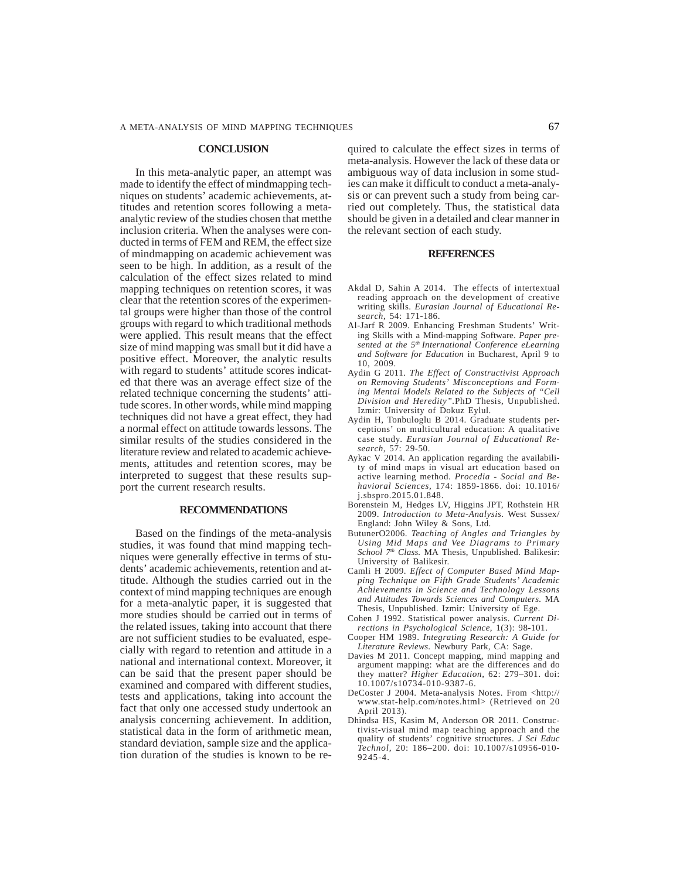#### **CONCLUSION**

In this meta-analytic paper, an attempt was made to identify the effect of mindmapping techniques on students' academic achievements, attitudes and retention scores following a metaanalytic review of the studies chosen that metthe inclusion criteria. When the analyses were conducted in terms of FEM and REM, the effect size of mindmapping on academic achievement was seen to be high. In addition, as a result of the calculation of the effect sizes related to mind mapping techniques on retention scores, it was clear that the retention scores of the experimental groups were higher than those of the control groups with regard to which traditional methods were applied. This result means that the effect size of mind mapping was small but it did have a positive effect. Moreover, the analytic results with regard to students' attitude scores indicated that there was an average effect size of the related technique concerning the students' attitude scores. In other words, while mind mapping techniques did not have a great effect, they had a normal effect on attitude towards lessons. The similar results of the studies considered in the literature review and related to academic achievements, attitudes and retention scores, may be interpreted to suggest that these results support the current research results.

## **RECOMMENDATIONS**

Based on the findings of the meta-analysis studies, it was found that mind mapping techniques were generally effective in terms of students' academic achievements, retention and attitude. Although the studies carried out in the context of mind mapping techniques are enough for a meta-analytic paper, it is suggested that more studies should be carried out in terms of the related issues, taking into account that there are not sufficient studies to be evaluated, especially with regard to retention and attitude in a national and international context. Moreover, it can be said that the present paper should be examined and compared with different studies, tests and applications, taking into account the fact that only one accessed study undertook an analysis concerning achievement. In addition, statistical data in the form of arithmetic mean, standard deviation, sample size and the application duration of the studies is known to be required to calculate the effect sizes in terms of meta-analysis. However the lack of these data or ambiguous way of data inclusion in some studies can make it difficult to conduct a meta-analysis or can prevent such a study from being carried out completely. Thus, the statistical data should be given in a detailed and clear manner in the relevant section of each study.

#### **REFERENCES**

- Akdal D, Sahin A 2014. The effects of intertextual reading approach on the development of creative writing skills. *Eurasian Journal of Educational Research,* 54: 171-186.
- Al-Jarf R 2009. Enhancing Freshman Students' Writing Skills with a Mind-mapping Software. *Paper presented at the 5th International Conference eLearning and Software for Education* in Bucharest, April 9 to 10, 2009.
- Aydin G 2011. *The Effect of Constructivist Approach on Removing Students' Misconceptions and Forming Mental Models Related to the Subjects of "Cell Division and Heredity".*PhD Thesis, Unpublished. Izmir: University of Dokuz Eylul.
- Aydin H, Tonbuloglu B 2014. Graduate students perceptions' on multicultural education: A qualitative case study. *Eurasian Journal of Educational Research*, 57: 29-50.
- Aykac V 2014. An application regarding the availability of mind maps in visual art education based on active learning method. *Procedia - Social and Behavioral Sciences,* 174: 1859-1866. doi: 10.1016/ j.sbspro.2015.01.848.
- Borenstein M, Hedges LV, Higgins JPT, Rothstein HR 2009. *Introduction to Meta-Analysis.* West Sussex/ England: John Wiley & Sons, Ltd.
- ButunerO2006. *Teaching of Angles and Triangles by Using Mid Maps and Vee Diagrams to Primary School 7th Class.* MA Thesis, Unpublished. Balikesir: University of Balikesir.
- Camli H 2009. *Effect of Computer Based Mind Mapping Technique on Fifth Grade Students' Academic Achievements in Science and Technology Lessons and Attitudes Towards Sciences and Computers.* MA Thesis, Unpublished. Izmir: University of Ege.
- Cohen J 1992. Statistical power analysis. *Current Directions in Psychological Science,* 1(3): 98-101.
- Cooper HM 1989. *Integrating Research: A Guide for Literature Reviews*. Newbury Park, CA: Sage.
- Davies M 2011. Concept mapping, mind mapping and argument mapping: what are the differences and do they matter? *Higher Education,* 62: 279–301. doi: 10.1007/s10734-010-9387-6.
- DeCoster J 2004. Meta-analysis Notes. From <http:// www.stat-help.com/notes.html> (Retrieved on 20 April 2013).
- Dhindsa HS, Kasim M, Anderson OR 2011. Constructivist-visual mind map teaching approach and the quality of students' cognitive structures. *J Sci Educ Technol,* 20: 186–200. doi: 10.1007/s10956-010- 9245-4.